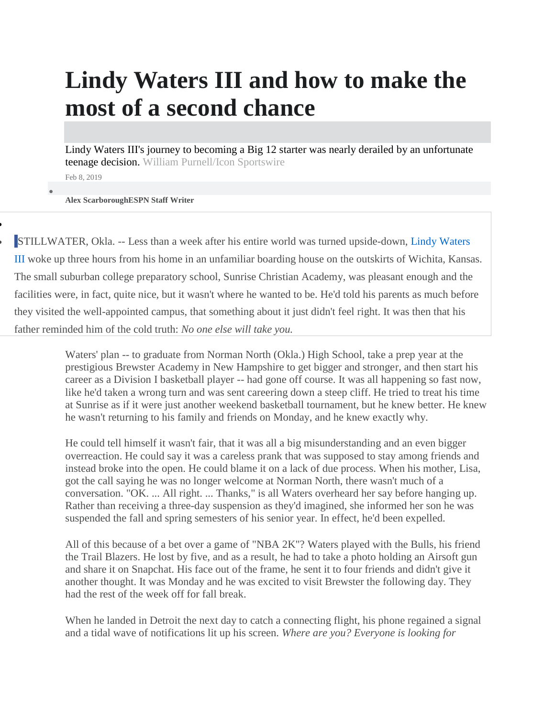## **Lindy Waters III and how to make the most of a second chance**

Lindy Waters III's journey to becoming a Big 12 starter was nearly derailed by an unfortunate teenage decision. William Purnell/Icon Sportswire

Feb 8, 2019

 $\bullet$ 

 $\blacksquare$ 

**Alex ScarboroughESPN Staff Writer**

[S](https://www.facebook.com/dialog/share?href=http%3A%2F%2Fwww.espn.com%2Fmens%2Dcollege%2Dbasketball%2Fstory%2F_%2Fid%2F25924062&app_id=116656161708917)TILLWATER, Okla. -- Less than a week after his entire world was turned upside-down, Lindy [Waters](http://www.espn.com/mens-college-basketball/player/_/id/4066317/lindy-waters-iii) [III](http://www.espn.com/mens-college-basketball/player/_/id/4066317/lindy-waters-iii) woke up three hours from his home in an unfamiliar boarding house on the outskirts of Wichita, Kansas. The small suburban college preparatory school, Sunrise Christian Academy, was pleasant enough and the facilities were, in fact, quite nice, but it wasn't where he wanted to be. He'd told his parents as much before they visited the well-appointed campus, that something about it just didn't feel right. It was then that his father reminded him of the cold truth: *No one else will take you.*

> Waters' plan -- to graduate from Norman North (Okla.) High School, take a prep year at the prestigious Brewster Academy in New Hampshire to get bigger and stronger, and then start his career as a Division I basketball player -- had gone off course. It was all happening so fast now, like he'd taken a wrong turn and was sent careering down a steep cliff. He tried to treat his time at Sunrise as if it were just another weekend basketball tournament, but he knew better. He knew he wasn't returning to his family and friends on Monday, and he knew exactly why.

He could tell himself it wasn't fair, that it was all a big misunderstanding and an even bigger overreaction. He could say it was a careless prank that was supposed to stay among friends and instead broke into the open. He could blame it on a lack of due process. When his mother, Lisa, got the call saying he was no longer welcome at Norman North, there wasn't much of a conversation. "OK. ... All right. ... Thanks," is all Waters overheard her say before hanging up. Rather than receiving a three-day suspension as they'd imagined, she informed her son he was suspended the fall and spring semesters of his senior year. In effect, he'd been expelled.

All of this because of a bet over a game of "NBA 2K"? Waters played with the Bulls, his friend the Trail Blazers. He lost by five, and as a result, he had to take a photo holding an Airsoft gun and share it on Snapchat. His face out of the frame, he sent it to four friends and didn't give it another thought. It was Monday and he was excited to visit Brewster the following day. They had the rest of the week off for fall break.

When he landed in Detroit the next day to catch a connecting flight, his phone regained a signal and a tidal wave of notifications lit up his screen. *Where are you? Everyone is looking for*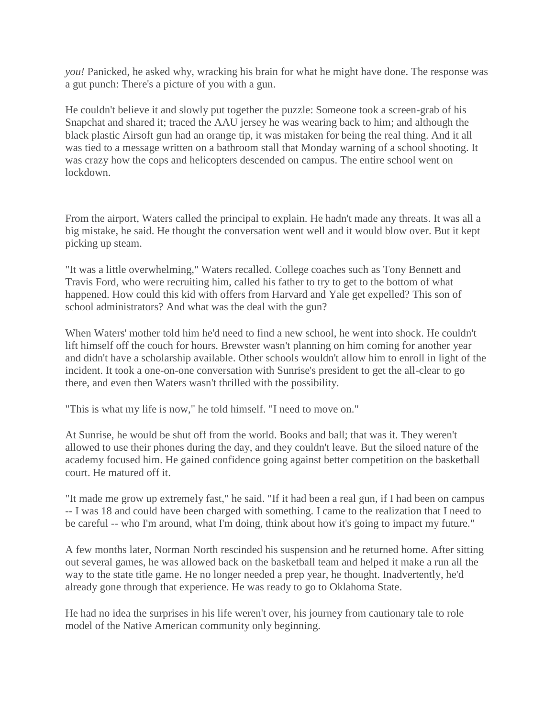*you!* Panicked, he asked why, wracking his brain for what he might have done. The response was a gut punch: There's a picture of you with a gun.

He couldn't believe it and slowly put together the puzzle: Someone took a screen-grab of his Snapchat and shared it; traced the AAU jersey he was wearing back to him; and although the black plastic Airsoft gun had an orange tip, it was mistaken for being the real thing. And it all was tied to a message written on a bathroom stall that Monday warning of a school shooting. It was crazy how the cops and helicopters descended on campus. The entire school went on lockdown.

From the airport, Waters called the principal to explain. He hadn't made any threats. It was all a big mistake, he said. He thought the conversation went well and it would blow over. But it kept picking up steam.

"It was a little overwhelming," Waters recalled. College coaches such as Tony Bennett and Travis Ford, who were recruiting him, called his father to try to get to the bottom of what happened. How could this kid with offers from Harvard and Yale get expelled? This son of school administrators? And what was the deal with the gun?

When Waters' mother told him he'd need to find a new school, he went into shock. He couldn't lift himself off the couch for hours. Brewster wasn't planning on him coming for another year and didn't have a scholarship available. Other schools wouldn't allow him to enroll in light of the incident. It took a one-on-one conversation with Sunrise's president to get the all-clear to go there, and even then Waters wasn't thrilled with the possibility.

"This is what my life is now," he told himself. "I need to move on."

At Sunrise, he would be shut off from the world. Books and ball; that was it. They weren't allowed to use their phones during the day, and they couldn't leave. But the siloed nature of the academy focused him. He gained confidence going against better competition on the basketball court. He matured off it.

"It made me grow up extremely fast," he said. "If it had been a real gun, if I had been on campus -- I was 18 and could have been charged with something. I came to the realization that I need to be careful -- who I'm around, what I'm doing, think about how it's going to impact my future."

A few months later, Norman North rescinded his suspension and he returned home. After sitting out several games, he was allowed back on the basketball team and helped it make a run all the way to the state title game. He no longer needed a prep year, he thought. Inadvertently, he'd already gone through that experience. He was ready to go to Oklahoma State.

He had no idea the surprises in his life weren't over, his journey from cautionary tale to role model of the Native American community only beginning.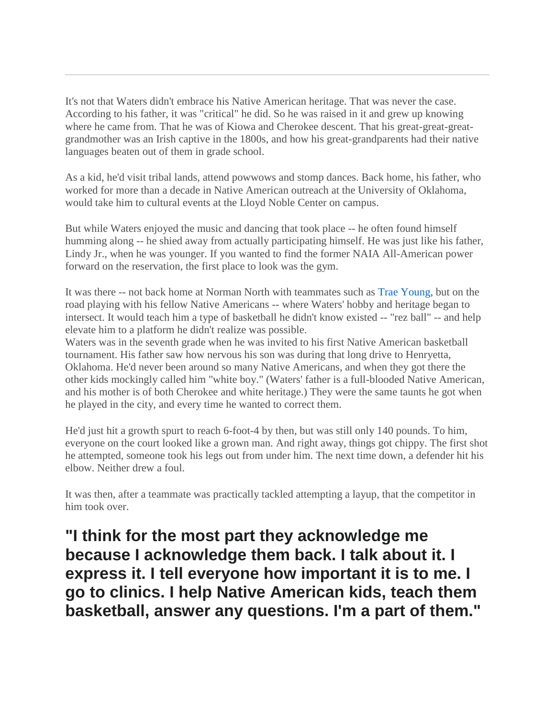It's not that Waters didn't embrace his Native American heritage. That was never the case. According to his father, it was "critical" he did. So he was raised in it and grew up knowing where he came from. That he was of Kiowa and Cherokee descent. That his great-great-greatgrandmother was an Irish captive in the 1800s, and how his great-grandparents had their native languages beaten out of them in grade school.

As a kid, he'd visit tribal lands, attend powwows and stomp dances. Back home, his father, who worked for more than a decade in Native American outreach at the University of Oklahoma, would take him to cultural events at the Lloyd Noble Center on campus.

But while Waters enjoyed the music and dancing that took place -- he often found himself humming along -- he shied away from actually participating himself. He was just like his father, Lindy Jr., when he was younger. If you wanted to find the former NAIA All-American power forward on the reservation, the first place to look was the gym.

It was there -- not back home at Norman North with teammates such as Trae [Young,](http://www.espn.com/nba/player/_/id/4277905/trae-young) but on the road playing with his fellow Native Americans -- where Waters' hobby and heritage began to intersect. It would teach him a type of basketball he didn't know existed -- "rez ball" -- and help elevate him to a platform he didn't realize was possible.

Waters was in the seventh grade when he was invited to his first Native American basketball tournament. His father saw how nervous his son was during that long drive to Henryetta, Oklahoma. He'd never been around so many Native Americans, and when they got there the other kids mockingly called him "white boy." (Waters' father is a full-blooded Native American, and his mother is of both Cherokee and white heritage.) They were the same taunts he got when he played in the city, and every time he wanted to correct them.

He'd just hit a growth spurt to reach 6-foot-4 by then, but was still only 140 pounds. To him, everyone on the court looked like a grown man. And right away, things got chippy. The first shot he attempted, someone took his legs out from under him. The next time down, a defender hit his elbow. Neither drew a foul.

It was then, after a teammate was practically tackled attempting a layup, that the competitor in him took over.

**"I think for the most part they acknowledge me because I acknowledge them back. I talk about it. I express it. I tell everyone how important it is to me. I go to clinics. I help Native American kids, teach them basketball, answer any questions. I'm a part of them."**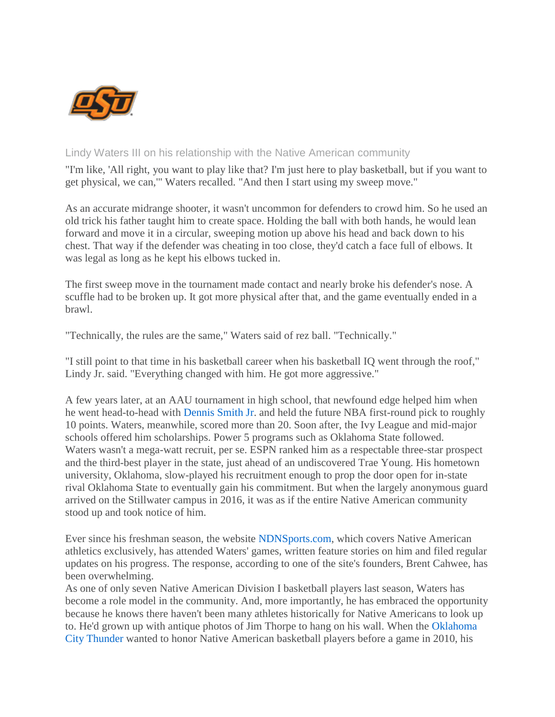

## Lindy Waters III on his relationship with the Native American community

"I'm like, 'All right, you want to play like that? I'm just here to play basketball, but if you want to get physical, we can,'" Waters recalled. "And then I start using my sweep move."

As an accurate midrange shooter, it wasn't uncommon for defenders to crowd him. So he used an old trick his father taught him to create space. Holding the ball with both hands, he would lean forward and move it in a circular, sweeping motion up above his head and back down to his chest. That way if the defender was cheating in too close, they'd catch a face full of elbows. It was legal as long as he kept his elbows tucked in.

The first sweep move in the tournament made contact and nearly broke his defender's nose. A scuffle had to be broken up. It got more physical after that, and the game eventually ended in a brawl.

"Technically, the rules are the same," Waters said of rez ball. "Technically."

"I still point to that time in his basketball career when his basketball IQ went through the roof," Lindy Jr. said. "Everything changed with him. He got more aggressive."

A few years later, at an AAU tournament in high school, that newfound edge helped him when he went head-to-head with [Dennis](http://www.espn.com/nba/player/_/id/4065697/dennis-smith-jr) Smith Jr. and held the future NBA first-round pick to roughly 10 points. Waters, meanwhile, scored more than 20. Soon after, the Ivy League and mid-major schools offered him scholarships. Power 5 programs such as Oklahoma State followed. Waters wasn't a mega-watt recruit, per se. ESPN ranked him as a respectable three-star prospect and the third-best player in the state, just ahead of an undiscovered Trae Young. His hometown university, Oklahoma, slow-played his recruitment enough to prop the door open for in-state rival Oklahoma State to eventually gain his commitment. But when the largely anonymous guard arrived on the Stillwater campus in 2016, it was as if the entire Native American community stood up and took notice of him.

Ever since his freshman season, the website [NDNSports.com,](http://www.ndnsports.com/) which covers Native American athletics exclusively, has attended Waters' games, written feature stories on him and filed regular updates on his progress. The response, according to one of the site's founders, Brent Cahwee, has been overwhelming.

As one of only seven Native American Division I basketball players last season, Waters has become a role model in the community. And, more importantly, he has embraced the opportunity because he knows there haven't been many athletes historically for Native Americans to look up to. He'd grown up with antique photos of Jim Thorpe to hang on his wall. When the [Oklahoma](http://www.espn.com/nba/team/_/name/okc/oklahoma-city-thunder) City [Thunder](http://www.espn.com/nba/team/_/name/okc/oklahoma-city-thunder) wanted to honor Native American basketball players before a game in 2010, his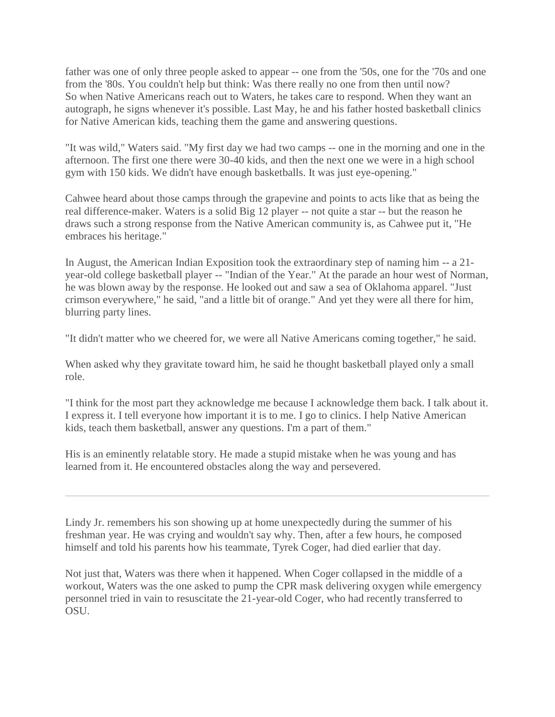father was one of only three people asked to appear -- one from the '50s, one for the '70s and one from the '80s. You couldn't help but think: Was there really no one from then until now? So when Native Americans reach out to Waters, he takes care to respond. When they want an autograph, he signs whenever it's possible. Last May, he and his father hosted basketball clinics for Native American kids, teaching them the game and answering questions.

"It was wild," Waters said. "My first day we had two camps -- one in the morning and one in the afternoon. The first one there were 30-40 kids, and then the next one we were in a high school gym with 150 kids. We didn't have enough basketballs. It was just eye-opening."

Cahwee heard about those camps through the grapevine and points to acts like that as being the real difference-maker. Waters is a solid Big 12 player -- not quite a star -- but the reason he draws such a strong response from the Native American community is, as Cahwee put it, "He embraces his heritage."

In August, the American Indian Exposition took the extraordinary step of naming him -- a 21 year-old college basketball player -- "Indian of the Year." At the parade an hour west of Norman, he was blown away by the response. He looked out and saw a sea of Oklahoma apparel. "Just crimson everywhere," he said, "and a little bit of orange." And yet they were all there for him, blurring party lines.

"It didn't matter who we cheered for, we were all Native Americans coming together," he said.

When asked why they gravitate toward him, he said he thought basketball played only a small role.

"I think for the most part they acknowledge me because I acknowledge them back. I talk about it. I express it. I tell everyone how important it is to me. I go to clinics. I help Native American kids, teach them basketball, answer any questions. I'm a part of them."

His is an eminently relatable story. He made a stupid mistake when he was young and has learned from it. He encountered obstacles along the way and persevered.

Lindy Jr. remembers his son showing up at home unexpectedly during the summer of his freshman year. He was crying and wouldn't say why. Then, after a few hours, he composed himself and told his parents how his teammate, Tyrek Coger, had died earlier that day.

Not just that, Waters was there when it happened. When Coger collapsed in the middle of a workout, Waters was the one asked to pump the CPR mask delivering oxygen while emergency personnel tried in vain to resuscitate the 21-year-old Coger, who had recently transferred to OSU.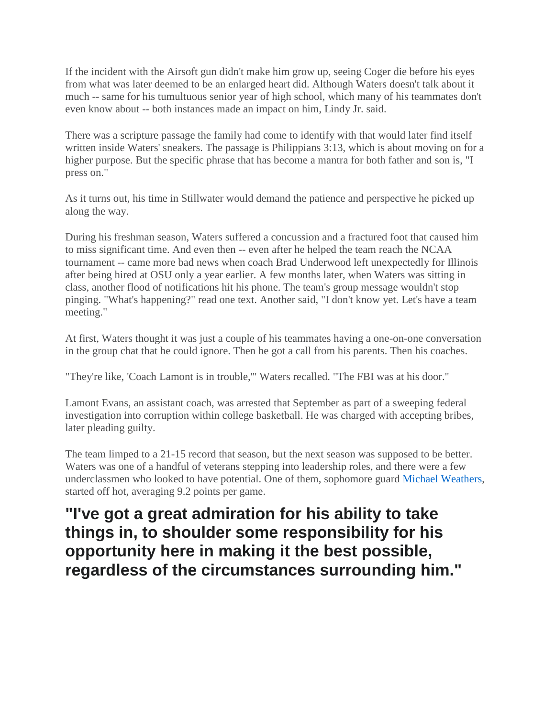If the incident with the Airsoft gun didn't make him grow up, seeing Coger die before his eyes from what was later deemed to be an enlarged heart did. Although Waters doesn't talk about it much -- same for his tumultuous senior year of high school, which many of his teammates don't even know about -- both instances made an impact on him, Lindy Jr. said.

There was a scripture passage the family had come to identify with that would later find itself written inside Waters' sneakers. The passage is Philippians 3:13, which is about moving on for a higher purpose. But the specific phrase that has become a mantra for both father and son is, "I press on."

As it turns out, his time in Stillwater would demand the patience and perspective he picked up along the way.

During his freshman season, Waters suffered a concussion and a fractured foot that caused him to miss significant time. And even then -- even after he helped the team reach the NCAA tournament -- came more bad news when coach Brad Underwood left unexpectedly for Illinois after being hired at OSU only a year earlier. A few months later, when Waters was sitting in class, another flood of notifications hit his phone. The team's group message wouldn't stop pinging. "What's happening?" read one text. Another said, "I don't know yet. Let's have a team meeting."

At first, Waters thought it was just a couple of his teammates having a one-on-one conversation in the group chat that he could ignore. Then he got a call from his parents. Then his coaches.

"They're like, 'Coach Lamont is in trouble,'" Waters recalled. "The FBI was at his door."

Lamont Evans, an assistant coach, was arrested that September as part of a sweeping federal investigation into corruption within college basketball. He was charged with accepting bribes, later pleading guilty.

The team limped to a 21-15 record that season, but the next season was supposed to be better. Waters was one of a handful of veterans stepping into leadership roles, and there were a few underclassmen who looked to have potential. One of them, sophomore guard Michael [Weathers,](http://www.espn.com/mens-college-basketball/player/_/id/4067391/michael-weathers) started off hot, averaging 9.2 points per game.

## **"I've got a great admiration for his ability to take things in, to shoulder some responsibility for his opportunity here in making it the best possible, regardless of the circumstances surrounding him."**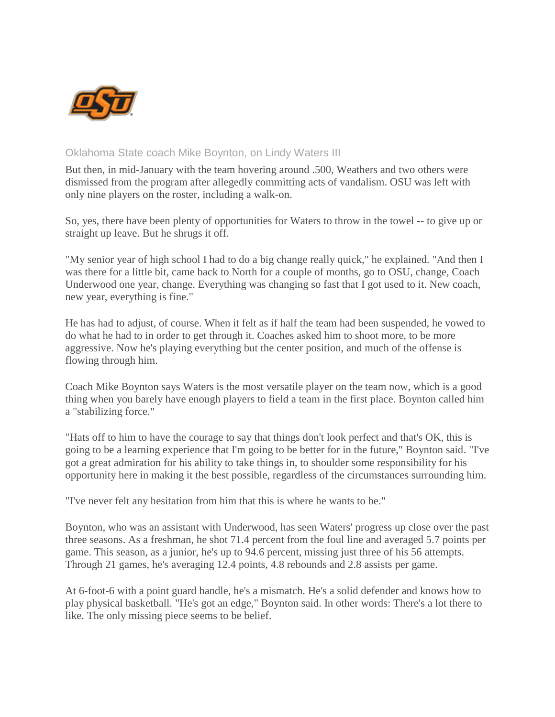

## Oklahoma State coach Mike Boynton, on Lindy Waters III

But then, in mid-January with the team hovering around .500, Weathers and two others were dismissed from the program after allegedly committing acts of vandalism. OSU was left with only nine players on the roster, including a walk-on.

So, yes, there have been plenty of opportunities for Waters to throw in the towel -- to give up or straight up leave. But he shrugs it off.

"My senior year of high school I had to do a big change really quick," he explained. "And then I was there for a little bit, came back to North for a couple of months, go to OSU, change, Coach Underwood one year, change. Everything was changing so fast that I got used to it. New coach, new year, everything is fine."

He has had to adjust, of course. When it felt as if half the team had been suspended, he vowed to do what he had to in order to get through it. Coaches asked him to shoot more, to be more aggressive. Now he's playing everything but the center position, and much of the offense is flowing through him.

Coach Mike Boynton says Waters is the most versatile player on the team now, which is a good thing when you barely have enough players to field a team in the first place. Boynton called him a "stabilizing force."

"Hats off to him to have the courage to say that things don't look perfect and that's OK, this is going to be a learning experience that I'm going to be better for in the future," Boynton said. "I've got a great admiration for his ability to take things in, to shoulder some responsibility for his opportunity here in making it the best possible, regardless of the circumstances surrounding him.

"I've never felt any hesitation from him that this is where he wants to be."

Boynton, who was an assistant with Underwood, has seen Waters' progress up close over the past three seasons. As a freshman, he shot 71.4 percent from the foul line and averaged 5.7 points per game. This season, as a junior, he's up to 94.6 percent, missing just three of his 56 attempts. Through 21 games, he's averaging 12.4 points, 4.8 rebounds and 2.8 assists per game.

At 6-foot-6 with a point guard handle, he's a mismatch. He's a solid defender and knows how to play physical basketball. "He's got an edge," Boynton said. In other words: There's a lot there to like. The only missing piece seems to be belief.